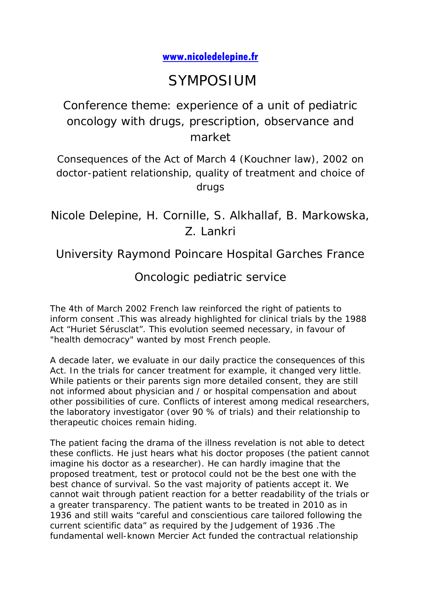## **[www.nicoledelepine.fr](http://www.nicoledelepine.fr/)**

## SYMPOSIUM

Conference theme: experience of a unit of pediatric oncology with drugs, prescription, observance and market

Consequences of the Act of March 4 (Kouchner law), 2002 on doctor-patient relationship, quality of treatment and choice of drugs

Nicole Delepine, H. Cornille, S. Alkhallaf, B. Markowska, Z. Lankri

University Raymond Poincare Hospital Garches France

## Oncologic pediatric service

The 4th of March 2002 French law reinforced the right of patients to inform consent .This was already highlighted for clinical trials by the 1988 Act "Huriet Sérusclat". This evolution seemed necessary, in favour of "health democracy" wanted by most French people.

A decade later, we evaluate in our daily practice the consequences of this Act. In the trials for cancer treatment for example, it changed very little. While patients or their parents sign more detailed consent, they are still not informed about physician and / or hospital compensation and about other possibilities of cure. Conflicts of interest among medical researchers, the laboratory investigator (over 90 % of trials) and their relationship to therapeutic choices remain hiding.

The patient facing the drama of the illness revelation is not able to detect these conflicts. He just hears what his doctor proposes (the patient cannot imagine his doctor as a researcher). He can hardly imagine that the proposed treatment, test or protocol could not be the best one with the best chance of survival. So the vast majority of patients accept it. We cannot wait through patient reaction for a better readability of the trials or a greater transparency. The patient wants to be treated in 2010 as in 1936 and still waits "careful and conscientious care tailored following the current scientific data" as required by the Judgement of 1936 .The fundamental well-known Mercier Act funded the contractual relationship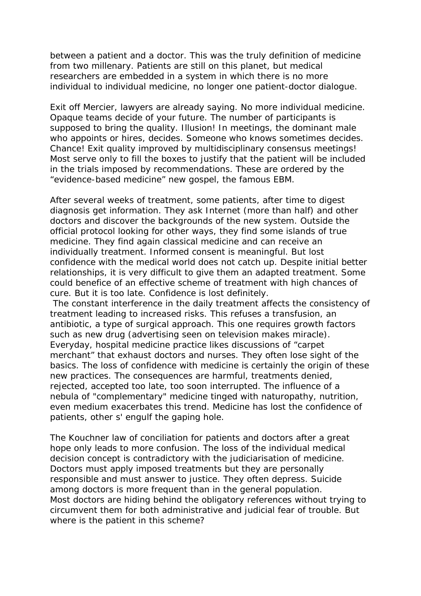between a patient and a doctor. This was the truly definition of medicine from two millenary. Patients are still on this planet, but medical researchers are embedded in a system in which there is no more individual to individual medicine, no longer one patient-doctor dialogue.

Exit off Mercier, lawyers are already saying. No more individual medicine. Opaque teams decide of your future. The number of participants is supposed to bring the quality. Illusion! In meetings, the dominant male who appoints or hires, decides. Someone who knows sometimes decides. Chance! Exit quality improved by multidisciplinary consensus meetings! Most serve only to fill the boxes to justify that the patient will be included in the trials imposed by recommendations. These are ordered by the "evidence-based medicine" new gospel, the famous EBM.

After several weeks of treatment, some patients, after time to digest diagnosis get information. They ask Internet (more than half) and other doctors and discover the backgrounds of the new system. Outside the official protocol looking for other ways, they find some islands of true medicine. They find again classical medicine and can receive an individually treatment. Informed consent is meaningful. But lost confidence with the medical world does not catch up. Despite initial better relationships, it is very difficult to give them an adapted treatment. Some could benefice of an effective scheme of treatment with high chances of cure. But it is too late. Confidence is lost definitely.

The constant interference in the daily treatment affects the consistency of treatment leading to increased risks. This refuses a transfusion, an antibiotic, a type of surgical approach. This one requires growth factors such as new drug (advertising seen on television makes miracle). Everyday, hospital medicine practice likes discussions of "carpet merchant" that exhaust doctors and nurses. They often lose sight of the basics. The loss of confidence with medicine is certainly the origin of these new practices. The consequences are harmful, treatments denied, rejected, accepted too late, too soon interrupted. The influence of a nebula of "complementary" medicine tinged with naturopathy, nutrition, even medium exacerbates this trend. Medicine has lost the confidence of patients, other s' engulf the gaping hole.

The Kouchner law of conciliation for patients and doctors after a great hope only leads to more confusion. The loss of the individual medical decision concept is contradictory with the judiciarisation of medicine. Doctors must apply imposed treatments but they are personally responsible and must answer to justice. They often depress. Suicide among doctors is more frequent than in the general population. Most doctors are hiding behind the obligatory references without trying to circumvent them for both administrative and judicial fear of trouble. But where is the patient in this scheme?